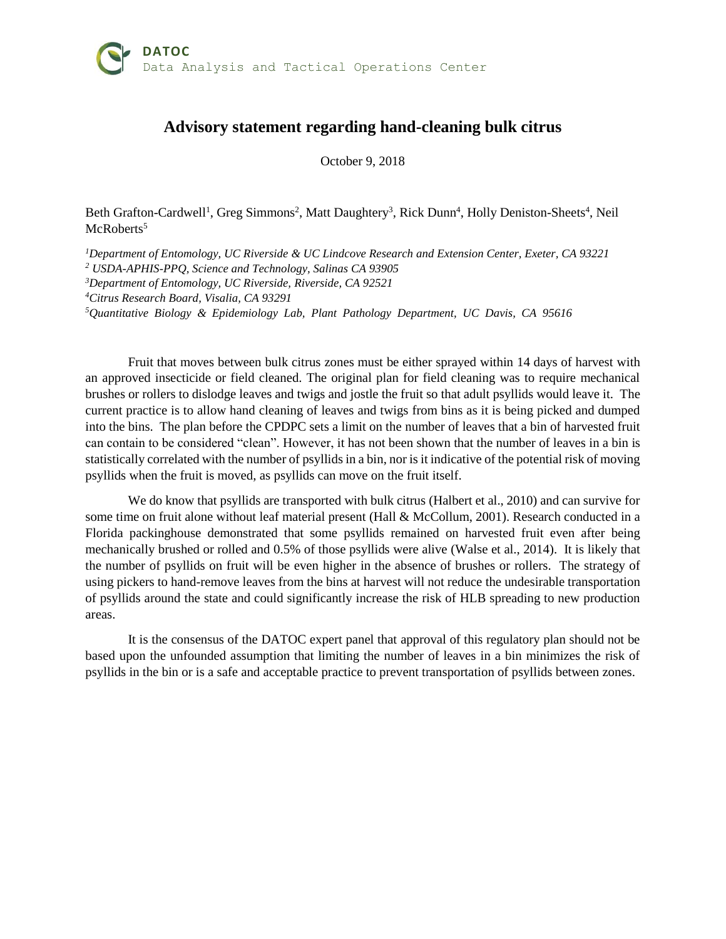## **Advisory statement regarding hand-cleaning bulk citrus**

October 9, 2018

Beth Grafton-Cardwell<sup>1</sup>, Greg Simmons<sup>2</sup>, Matt Daughtery<sup>3</sup>, Rick Dunn<sup>4</sup>, Holly Deniston-Sheets<sup>4</sup>, Neil McRoberts<sup>5</sup>

*Department of Entomology, UC Riverside & UC Lindcove Research and Extension Center, Exeter, CA 93221 USDA-APHIS-PPQ, Science and Technology, Salinas CA 93905 Department of Entomology, UC Riverside, Riverside, CA 92521 Citrus Research Board, Visalia, CA 93291 Quantitative Biology & Epidemiology Lab, Plant Pathology Department, UC Davis, CA 95616*

Fruit that moves between bulk citrus zones must be either sprayed within 14 days of harvest with an approved insecticide or field cleaned. The original plan for field cleaning was to require mechanical brushes or rollers to dislodge leaves and twigs and jostle the fruit so that adult psyllids would leave it. The current practice is to allow hand cleaning of leaves and twigs from bins as it is being picked and dumped into the bins. The plan before the CPDPC sets a limit on the number of leaves that a bin of harvested fruit can contain to be considered "clean". However, it has not been shown that the number of leaves in a bin is statistically correlated with the number of psyllids in a bin, nor is it indicative of the potential risk of moving psyllids when the fruit is moved, as psyllids can move on the fruit itself.

We do know that psyllids are transported with bulk citrus (Halbert et al., 2010) and can survive for some time on fruit alone without leaf material present (Hall & McCollum, 2001). Research conducted in a Florida packinghouse demonstrated that some psyllids remained on harvested fruit even after being mechanically brushed or rolled and 0.5% of those psyllids were alive (Walse et al., 2014). It is likely that the number of psyllids on fruit will be even higher in the absence of brushes or rollers. The strategy of using pickers to hand-remove leaves from the bins at harvest will not reduce the undesirable transportation of psyllids around the state and could significantly increase the risk of HLB spreading to new production areas.

It is the consensus of the DATOC expert panel that approval of this regulatory plan should not be based upon the unfounded assumption that limiting the number of leaves in a bin minimizes the risk of psyllids in the bin or is a safe and acceptable practice to prevent transportation of psyllids between zones.